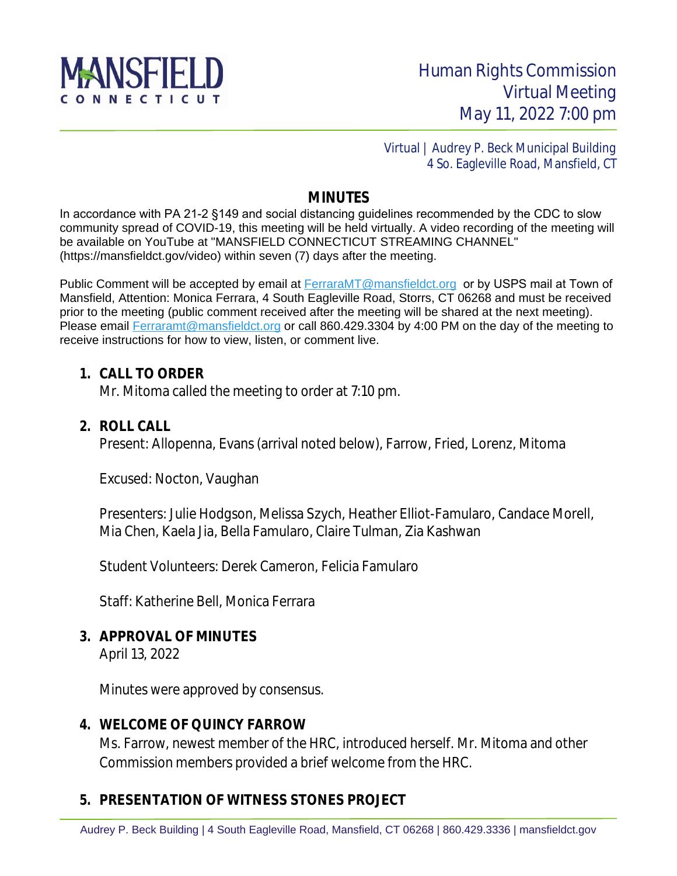

 Virtual | Audrey P. Beck Municipal Building 4 So. Eagleville Road, Mansfield, CT

### **MINUTES**

In accordance with PA 21-2 §149 and social distancing guidelines recommended by the CDC to slow community spread of COVID-19, this meeting will be held virtually. A video recording of the meeting will be available on YouTube at "MANSFIELD CONNECTICUT STREAMING CHANNEL" (https://mansfieldct.gov/video) within seven (7) days after the meeting.

Public Comment will be accepted by email at **FerraraMT@mansfieldct.org** or by USPS mail at Town of Mansfield, Attention: Monica Ferrara, 4 South Eagleville Road, Storrs, CT 06268 and must be received prior to the meeting (public comment received after the meeting will be shared at the next meeting). Please email [Ferraramt@mansfieldct.org](mailto:Ferraramt@mansfieldct.org) or call 860.429.3304 by 4:00 PM on the day of the meeting to receive instructions for how to view, listen, or comment live.

#### **1. CALL TO ORDER**

Mr. Mitoma called the meeting to order at 7:10 pm.

#### **2. ROLL CALL**

Present: Allopenna, Evans (arrival noted below), Farrow, Fried, Lorenz, Mitoma

Excused: Nocton, Vaughan

Presenters: Julie Hodgson, Melissa Szych, Heather Elliot-Famularo, Candace Morell, Mia Chen, Kaela Jia, Bella Famularo, Claire Tulman, Zia Kashwan

Student Volunteers: Derek Cameron, Felicia Famularo

Staff: Katherine Bell, Monica Ferrara

### **3. APPROVAL OF MINUTES**

April 13, 2022

Minutes were approved by consensus.

### **4. WELCOME OF QUINCY FARROW**

Ms. Farrow, newest member of the HRC, introduced herself. Mr. Mitoma and other Commission members provided a brief welcome from the HRC.

## **5. PRESENTATION OF WITNESS STONES PROJECT**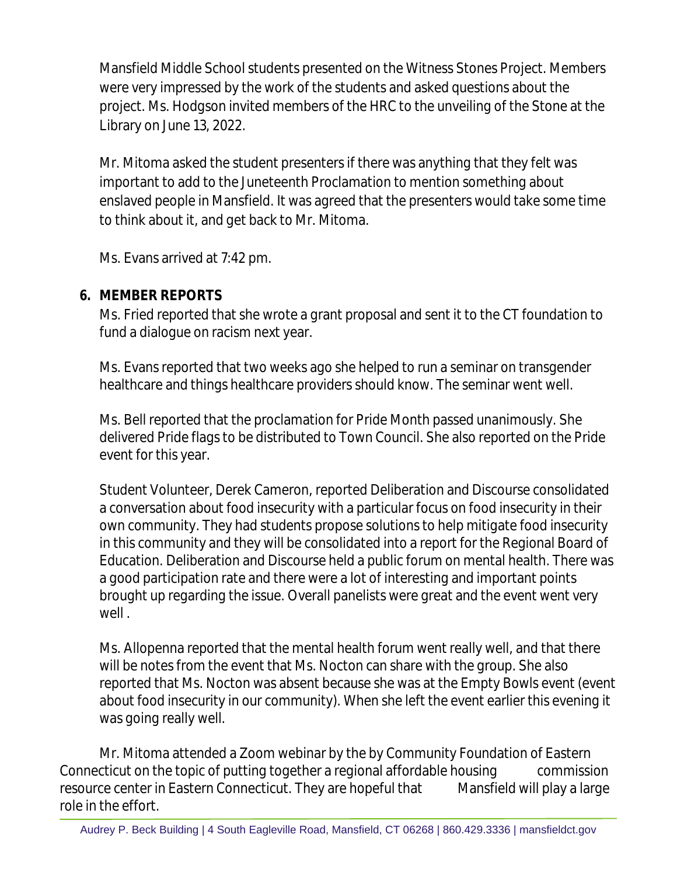Mansfield Middle School students presented on the Witness Stones Project. Members were very impressed by the work of the students and asked questions about the project. Ms. Hodgson invited members of the HRC to the unveiling of the Stone at the Library on June 13, 2022.

Mr. Mitoma asked the student presenters if there was anything that they felt was important to add to the Juneteenth Proclamation to mention something about enslaved people in Mansfield. It was agreed that the presenters would take some time to think about it, and get back to Mr. Mitoma.

Ms. Evans arrived at 7:42 pm.

# **6. MEMBER REPORTS**

Ms. Fried reported that she wrote a grant proposal and sent it to the CT foundation to fund a dialogue on racism next year.

Ms. Evans reported that two weeks ago she helped to run a seminar on transgender healthcare and things healthcare providers should know. The seminar went well.

Ms. Bell reported that the proclamation for Pride Month passed unanimously. She delivered Pride flags to be distributed to Town Council. She also reported on the Pride event for this year.

Student Volunteer, Derek Cameron, reported Deliberation and Discourse consolidated a conversation about food insecurity with a particular focus on food insecurity in their own community. They had students propose solutions to help mitigate food insecurity in this community and they will be consolidated into a report for the Regional Board of Education. Deliberation and Discourse held a public forum on mental health. There was a good participation rate and there were a lot of interesting and important points brought up regarding the issue. Overall panelists were great and the event went very well .

Ms. Allopenna reported that the mental health forum went really well, and that there will be notes from the event that Ms. Nocton can share with the group. She also reported that Ms. Nocton was absent because she was at the Empty Bowls event (event about food insecurity in our community). When she left the event earlier this evening it was going really well.

Mr. Mitoma attended a Zoom webinar by the by Community Foundation of Eastern Connecticut on the topic of putting together a regional affordable housing commission resource center in Eastern Connecticut. They are hopeful that Mansfield will play a large role in the effort.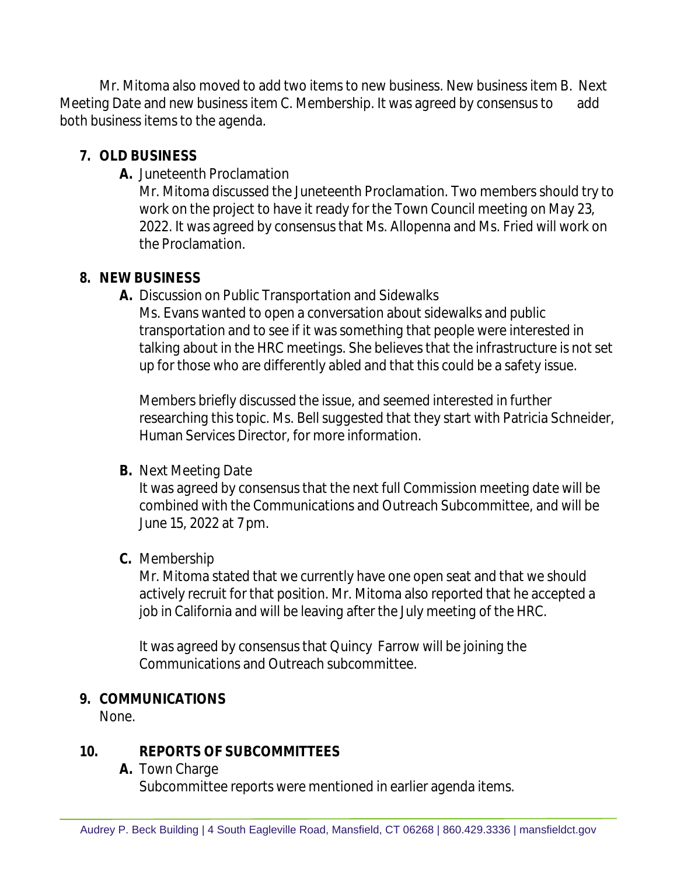Mr. Mitoma also moved to add two items to new business. New business item B. Next Meeting Date and new business item C. Membership. It was agreed by consensus to add both business items to the agenda.

## **7. OLD BUSINESS**

**A.** Juneteenth Proclamation

Mr. Mitoma discussed the Juneteenth Proclamation. Two members should try to work on the project to have it ready for the Town Council meeting on May 23, 2022. It was agreed by consensus that Ms. Allopenna and Ms. Fried will work on the Proclamation.

## **8. NEW BUSINESS**

**A.** Discussion on Public Transportation and Sidewalks

Ms. Evans wanted to open a conversation about sidewalks and public transportation and to see if it was something that people were interested in talking about in the HRC meetings. She believes that the infrastructure is not set up for those who are differently abled and that this could be a safety issue.

Members briefly discussed the issue, and seemed interested in further researching this topic. Ms. Bell suggested that they start with Patricia Schneider, Human Services Director, for more information.

## **B.** Next Meeting Date

It was agreed by consensus that the next full Commission meeting date will be combined with the Communications and Outreach Subcommittee, and will be June 15, 2022 at 7 pm.

## **C.** Membership

Mr. Mitoma stated that we currently have one open seat and that we should actively recruit for that position. Mr. Mitoma also reported that he accepted a job in California and will be leaving after the July meeting of the HRC.

It was agreed by consensus that Quincy Farrow will be joining the Communications and Outreach subcommittee.

## **9. COMMUNICATIONS**

None.

## **10. REPORTS OF SUBCOMMITTEES**

**A.** Town Charge

Subcommittee reports were mentioned in earlier agenda items.